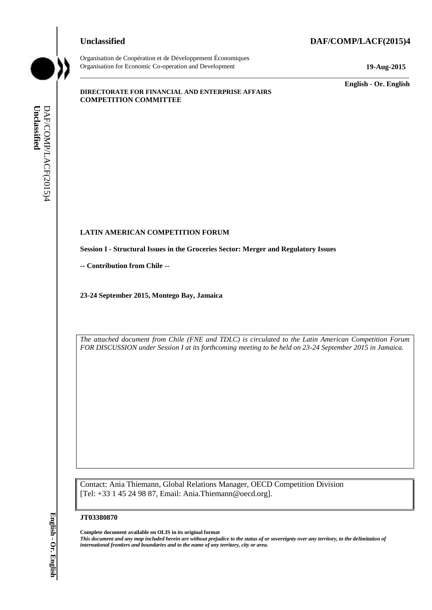#### **Unclassified DAF/COMP/LACF(2015)4**



Organisation de Coopération et de Développement Économiques Organisation for Economic Co-operation and Development **19-Aug-2015**

\_\_\_\_\_\_\_\_\_\_\_\_\_ **English - Or. English**

#### **DIRECTORATE FOR FINANCIAL AND ENTERPRISE AFFAIRS COMPETITION COMMITTEE**

# **LATIN AMERICAN COMPETITION FORUM LATIN AMERICAN COMP**<br>Session I - Structural Issues i<br>-- Contribution from Chile --

**Session I - Structural Issues in the Groceries Sector: Merger and Regulatory Issues**

**23-24 September 2015, Montego Bay, Jamaica**

*The attached document from Chile (FNE and TDLC) is circulated to the Latin American Competition Forum FOR DISCUSSION under Session I at its forthcoming meeting to be held on 23-24 September 2015 in Jamaica.*

\_\_\_\_\_\_\_\_\_\_\_\_\_\_\_\_\_\_\_\_\_\_\_\_\_\_\_\_\_\_\_\_\_\_\_\_\_\_\_\_\_\_\_\_\_\_\_\_\_\_\_\_\_\_\_\_\_\_\_\_\_\_\_\_\_\_\_\_\_\_\_\_\_\_\_\_\_\_\_\_\_\_\_\_\_\_\_\_\_\_\_

Contact: Ania Thiemann, Global Relations Manager, OECD Competition Division [Tel: +33 1 45 24 98 87, Email: Ania.Thiemann@oecd.org].

#### **JT03380870**

**Complete document available on OLIS in its original format** *This document and any map included herein are without prejudice to the status of or sovereignty over any territory, to the delimitation of*  **iii** *i international frontiers and boundaries and to the name of any territorial frontiers and DAF/Compare - Contribution from Chile -<br>
23-24 September 2015, Montego Bay, Januaica<br>
23-24 September 2015, Montego Bay, J*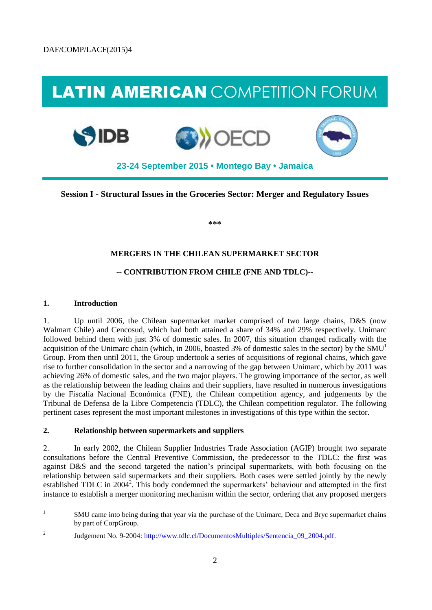## LATIN AMERICAN COMPETITION FORUM







**23-24 September 2015 • Montego Bay • Jamaica**

**Session I - Structural Issues in the Groceries Sector: Merger and Regulatory Issues**

**\*\*\***

### **MERGERS IN THE CHILEAN SUPERMARKET SECTOR**

### **-- CONTRIBUTION FROM CHILE (FNE AND TDLC)--**

#### **1. Introduction**

1. Up until 2006, the Chilean supermarket market comprised of two large chains, D&S (now Walmart Chile) and Cencosud, which had both attained a share of 34% and 29% respectively. Unimarc followed behind them with just 3% of domestic sales. In 2007, this situation changed radically with the acquisition of the Unimarc chain (which, in 2006, boasted 3% of domestic sales in the sector) by the SMU<sup>1</sup> Group. From then until 2011, the Group undertook a series of acquisitions of regional chains, which gave rise to further consolidation in the sector and a narrowing of the gap between Unimarc, which by 2011 was achieving 26% of domestic sales, and the two major players. The growing importance of the sector, as well as the relationship between the leading chains and their suppliers, have resulted in numerous investigations by the Fiscalía Nacional Económica (FNE), the Chilean competition agency, and judgements by the Tribunal de Defensa de la Libre Competencia (TDLC), the Chilean competition regulator. The following pertinent cases represent the most important milestones in investigations of this type within the sector.

#### **2. Relationship between supermarkets and suppliers**

2. In early 2002, the Chilean Supplier Industries Trade Association (AGIP) brought two separate consultations before the Central Preventive Commission, the predecessor to the TDLC: the first was against D&S and the second targeted the nation's principal supermarkets, with both focusing on the relationship between said supermarkets and their suppliers. Both cases were settled jointly by the newly established TDLC in 2004<sup>2</sup>. This body condemned the supermarkets' behaviour and attempted in the first instance to establish a merger monitoring mechanism within the sector, ordering that any proposed mergers

<sup>|&</sup>lt;br>|<br>| SMU came into being during that year via the purchase of the Unimarc, Deca and Bryc supermarket chains by part of CorpGroup.

<sup>2</sup> Judgement No. 9-2004[: http://www.tdlc.cl/DocumentosMultiples/Sentencia\\_09\\_2004.pdf.](http://www.tdlc.cl/DocumentosMultiples/Sentencia_09_2004.pdf)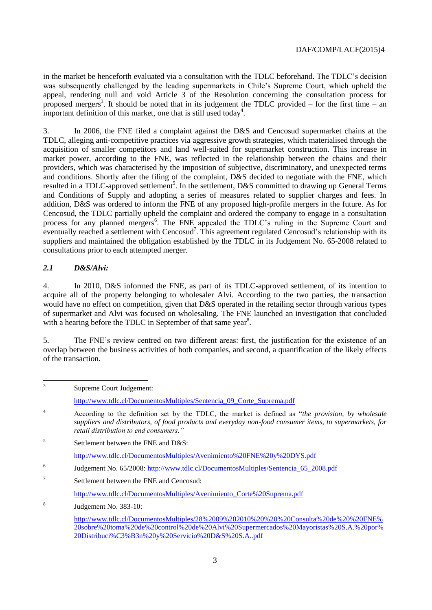in the market be henceforth evaluated via a consultation with the TDLC beforehand. The TDLC's decision was subsequently challenged by the leading supermarkets in Chile's Supreme Court, which upheld the appeal, rendering null and void Article 3 of the Resolution concerning the consultation process for proposed mergers<sup>3</sup>. It should be noted that in its judgement the TDLC provided – for the first time – an important definition of this market, one that is still used today<sup>4</sup>.

3. In 2006, the FNE filed a complaint against the D&S and Cencosud supermarket chains at the TDLC, alleging anti-competitive practices via aggressive growth strategies, which materialised through the acquisition of smaller competitors and land well-suited for supermarket construction. This increase in market power, according to the FNE, was reflected in the relationship between the chains and their providers, which was characterised by the imposition of subjective, discriminatory, and unexpected terms and conditions. Shortly after the filing of the complaint, D&S decided to negotiate with the FNE, which resulted in a TDLC-approved settlement<sup>5</sup>. In the settlement, D&S committed to drawing up General Terms and Conditions of Supply and adopting a series of measures related to supplier charges and fees. In addition, D&S was ordered to inform the FNE of any proposed high-profile mergers in the future. As for Cencosud, the TDLC partially upheld the complaint and ordered the company to engage in a consultation process for any planned mergers<sup>6</sup>. The FNE appealed the TDLC's ruling in the Supreme Court and eventually reached a settlement with Cencosud<sup>7</sup>. This agreement regulated Cencosud's relationship with its suppliers and maintained the obligation established by the TDLC in its Judgement No. 65-2008 related to consultations prior to each attempted merger.

### *2.1 D&S/Alvi:*

4. In 2010, D&S informed the FNE, as part of its TDLC-approved settlement, of its intention to acquire all of the property belonging to wholesaler Alvi. According to the two parties, the transaction would have no effect on competition, given that D&S operated in the retailing sector through various types of supermarket and Alvi was focused on wholesaling. The FNE launched an investigation that concluded with a hearing before the TDLC in September of that same year<sup>8</sup>.

5. The FNE's review centred on two different areas: first, the justification for the existence of an overlap between the business activities of both companies, and second, a quantification of the likely effects of the transaction.

 3 Supreme Court Judgement: [http://www.tdlc.cl/DocumentosMultiples/Sentencia\\_09\\_Corte\\_Suprema.pdf](http://www.tdlc.cl/DocumentosMultiples/Sentencia_09_Corte_Suprema.pdf) <sup>4</sup> According to the definition set by the TDLC, the market is defined as "*the provision, by wholesale suppliers and distributors, of food products and everyday non-food consumer items, to supermarkets, for retail distribution to end consumers."* 5 Settlement between the FNE and D&S: <http://www.tdlc.cl/DocumentosMultiples/Avenimiento%20FNE%20y%20DYS.pdf> 6 Judgement No. 65/2008: [http://www.tdlc.cl/DocumentosMultiples/Sentencia\\_65\\_2008.pdf](http://www.tdlc.cl/DocumentosMultiples/Sentencia_65_2008.pdf) 7 Settlement between the FNE and Cencosud: [http://www.tdlc.cl/DocumentosMultiples/Avenimiento\\_Corte%20Suprema.pdf](http://www.tdlc.cl/DocumentosMultiples/Avenimiento_Corte%20Suprema.pdf) 8 Judgement No. 383-10: [http://www.tdlc.cl/DocumentosMultiples/28%2009%202010%20%20%20Consulta%20de%20%20FNE%](http://www.tdlc.cl/DocumentosMultiples/28%2009%202010%20%20%20Consulta%20de%20%20FNE%20sobre%20toma%20de%20control%20de%20Alvi%20Supermercados%20Mayoristas%20S.A.%20por%20Distribuci%C3%B3n%20y%20Servicio%20D&S%20S.A..pdf) [20sobre%20toma%20de%20control%20de%20Alvi%20Supermercados%20Mayoristas%20S.A.%20por%](http://www.tdlc.cl/DocumentosMultiples/28%2009%202010%20%20%20Consulta%20de%20%20FNE%20sobre%20toma%20de%20control%20de%20Alvi%20Supermercados%20Mayoristas%20S.A.%20por%20Distribuci%C3%B3n%20y%20Servicio%20D&S%20S.A..pdf) [20Distribuci%C3%B3n%20y%20Servicio%20D&S%20S.A..pdf](http://www.tdlc.cl/DocumentosMultiples/28%2009%202010%20%20%20Consulta%20de%20%20FNE%20sobre%20toma%20de%20control%20de%20Alvi%20Supermercados%20Mayoristas%20S.A.%20por%20Distribuci%C3%B3n%20y%20Servicio%20D&S%20S.A..pdf)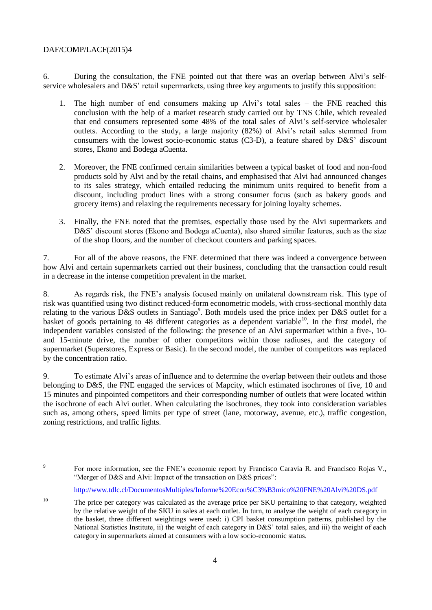#### DAF/COMP/LACF(2015)4

6. During the consultation, the FNE pointed out that there was an overlap between Alvi's selfservice wholesalers and D&S' retail supermarkets, using three key arguments to justify this supposition:

- 1. The high number of end consumers making up Alvi's total sales the FNE reached this conclusion with the help of a market research study carried out by TNS Chile, which revealed that end consumers represented some 48% of the total sales of Alvi's self-service wholesaler outlets. According to the study, a large majority (82%) of Alvi's retail sales stemmed from consumers with the lowest socio-economic status (C3-D), a feature shared by D&S' discount stores, Ekono and Bodega aCuenta.
- 2. Moreover, the FNE confirmed certain similarities between a typical basket of food and non-food products sold by Alvi and by the retail chains, and emphasised that Alvi had announced changes to its sales strategy, which entailed reducing the minimum units required to benefit from a discount, including product lines with a strong consumer focus (such as bakery goods and grocery items) and relaxing the requirements necessary for joining loyalty schemes.
- 3. Finally, the FNE noted that the premises, especially those used by the Alvi supermarkets and D&S' discount stores (Ekono and Bodega aCuenta), also shared similar features, such as the size of the shop floors, and the number of checkout counters and parking spaces.

7. For all of the above reasons, the FNE determined that there was indeed a convergence between how Alvi and certain supermarkets carried out their business, concluding that the transaction could result in a decrease in the intense competition prevalent in the market.

8. As regards risk, the FNE's analysis focused mainly on unilateral downstream risk. This type of risk was quantified using two distinct reduced-form econometric models, with cross-sectional monthly data relating to the various D&S outlets in Santiago<sup>9</sup>. Both models used the price index per D&S outlet for a basket of goods pertaining to 48 different categories as a dependent variable<sup>10</sup>. In the first model, the independent variables consisted of the following: the presence of an Alvi supermarket within a five-, 10 and 15-minute drive, the number of other competitors within those radiuses, and the category of supermarket (Superstores, Express or Basic). In the second model, the number of competitors was replaced by the concentration ratio.

9. To estimate Alvi's areas of influence and to determine the overlap between their outlets and those belonging to D&S, the FNE engaged the services of Mapcity, which estimated isochrones of five, 10 and 15 minutes and pinpointed competitors and their corresponding number of outlets that were located within the isochrone of each Alvi outlet. When calculating the isochrones, they took into consideration variables such as, among others, speed limits per type of street (lane, motorway, avenue, etc.), traffic congestion, zoning restrictions, and traffic lights.

-<br>9 For more information, see the FNE's economic report by Francisco Caravia R. and Francisco Rojas V., "Merger of D&S and Alvi: Impact of the transaction on D&S prices":

<http://www.tdlc.cl/DocumentosMultiples/Informe%20Econ%C3%B3mico%20FNE%20Alvi%20DS.pdf>

<sup>&</sup>lt;sup>10</sup> The price per category was calculated as the average price per SKU pertaining to that category, weighted by the relative weight of the SKU in sales at each outlet. In turn, to analyse the weight of each category in the basket, three different weightings were used: i) CPI basket consumption patterns, published by the National Statistics Institute, ii) the weight of each category in D&S' total sales, and iii) the weight of each category in supermarkets aimed at consumers with a low socio-economic status.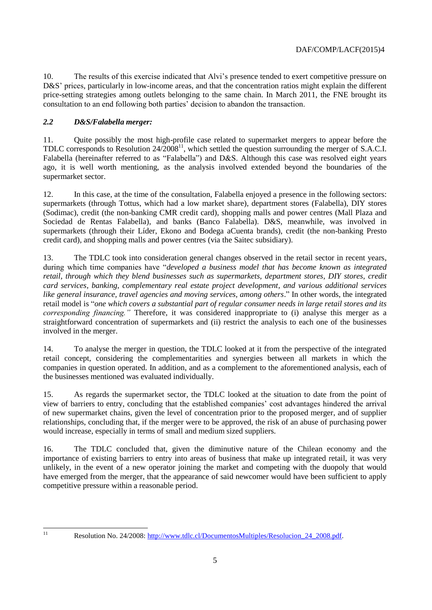10. The results of this exercise indicated that Alvi's presence tended to exert competitive pressure on D&S' prices, particularly in low-income areas, and that the concentration ratios might explain the different price-setting strategies among outlets belonging to the same chain. In March 2011, the FNE brought its consultation to an end following both parties' decision to abandon the transaction.

### *2.2 D&S/Falabella merger:*

11. Quite possibly the most high-profile case related to supermarket mergers to appear before the TDLC corresponds to Resolution  $24/2008^{11}$ , which settled the question surrounding the merger of S.A.C.I. Falabella (hereinafter referred to as "Falabella") and D&S. Although this case was resolved eight years ago, it is well worth mentioning, as the analysis involved extended beyond the boundaries of the supermarket sector.

12. In this case, at the time of the consultation, Falabella enjoyed a presence in the following sectors: supermarkets (through Tottus, which had a low market share), department stores (Falabella), DIY stores (Sodimac), credit (the non-banking CMR credit card), shopping malls and power centres (Mall Plaza and Sociedad de Rentas Falabella), and banks (Banco Falabella). D&S, meanwhile, was involved in supermarkets (through their Líder, Ekono and Bodega aCuenta brands), credit (the non-banking Presto credit card), and shopping malls and power centres (via the Saitec subsidiary).

13. The TDLC took into consideration general changes observed in the retail sector in recent years, during which time companies have "*developed a business model that has become known as integrated retail, through which they blend businesses such as supermarkets, department stores, DIY stores, credit card services, banking, complementary real estate project development, and various additional services like general insurance, travel agencies and moving services, among others*." In other words, the integrated retail model is "*one which covers a substantial part of regular consumer needs in large retail stores and its corresponding financing."* Therefore, it was considered inappropriate to (i) analyse this merger as a straightforward concentration of supermarkets and (ii) restrict the analysis to each one of the businesses involved in the merger.

14. To analyse the merger in question, the TDLC looked at it from the perspective of the integrated retail concept, considering the complementarities and synergies between all markets in which the companies in question operated. In addition, and as a complement to the aforementioned analysis, each of the businesses mentioned was evaluated individually.

15. As regards the supermarket sector, the TDLC looked at the situation to date from the point of view of barriers to entry, concluding that the established companies' cost advantages hindered the arrival of new supermarket chains, given the level of concentration prior to the proposed merger, and of supplier relationships, concluding that, if the merger were to be approved, the risk of an abuse of purchasing power would increase, especially in terms of small and medium sized suppliers.

16. The TDLC concluded that, given the diminutive nature of the Chilean economy and the importance of existing barriers to entry into areas of business that make up integrated retail, it was very unlikely, in the event of a new operator joining the market and competing with the duopoly that would have emerged from the merger, that the appearance of said newcomer would have been sufficient to apply competitive pressure within a reasonable period.

 $11$ 

Resolution No. 24/2008: http://www.tdlc.cl/DocumentosMultiples/Resolucion 24 2008.pdf.